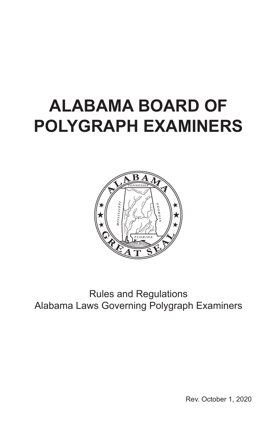# **ALABAMA BOARD OF POLYGRAPH EXAMINERS**



Rules and Regulations Alabama Laws Governing Polygraph Examiners

Rev. October 1, 2020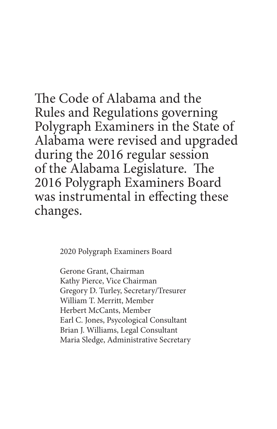The Code of Alabama and the Rules and Regulations governing Polygraph Examiners in the State of Alabama were revised and upgraded during the 2016 regular session of the Alabama Legislature. The 2016 Polygraph Examiners Board was instrumental in effecting these changes.

2020 Polygraph Examiners Board

Gerone Grant, Chairman Kathy Pierce, Vice Chairman Gregory D. Turley, Secretary/Tresurer William T. Merritt, Member Herbert McCants, Member Earl C. Jones, Psycological Consultant Brian J. Williams, Legal Consultant Maria Sledge, Administrative Secretary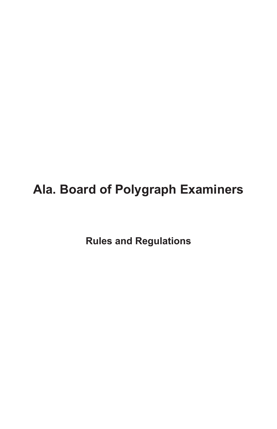## **Ala. Board of Polygraph Examiners**

**Rules and Regulations**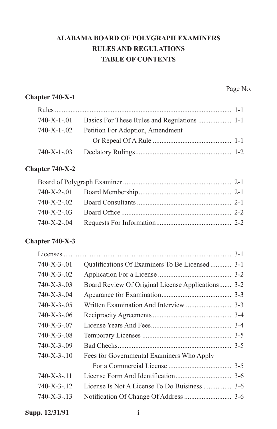### **ALABAMA BOARD OF POLYGRAPH EXAMINERS RULES AND REGULATIONS TABLE OF CONTENTS**

### **Chapter 740-X-1**

| 740-X-1-.02 Petition For Adoption, Amendment |  |
|----------------------------------------------|--|
|                                              |  |
|                                              |  |

#### **Chapter 740-X-2**

#### **Chapter 740-X-3**

| $740 - X - 3 - 01$ | Qualifications Of Examiners To Be Licensed  3-1 |         |
|--------------------|-------------------------------------------------|---------|
| $740 - X - 3 - 02$ |                                                 |         |
| $740 - X - 3 - 03$ | Board Review Of Original License Applications   | $3 - 2$ |
| $740 - X - 3 - 04$ |                                                 | $3 - 3$ |
| $740 - X - 3 - 05$ |                                                 | $3 - 3$ |
| $740 - X - 3 - 06$ |                                                 | $3 - 4$ |
| $740 - X - 3 - 07$ |                                                 | $3 - 4$ |
| $740 - X - 3 - 08$ |                                                 |         |
| $740 - X - 3 - 09$ |                                                 |         |
| $740 - X - 3 - 10$ | Fees for Governmental Examiners Who Apply       |         |
|                    |                                                 |         |
| $740 - X - 3 - 11$ |                                                 |         |
| $740 - X - 3 - 12$ | License Is Not A License To Do Buisiness        | $3 - 6$ |
| $740 - X - 3 - 13$ |                                                 |         |
|                    |                                                 |         |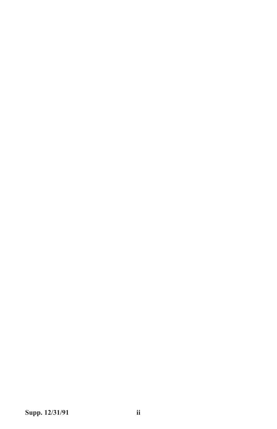**Supp. 12/31/91 ii**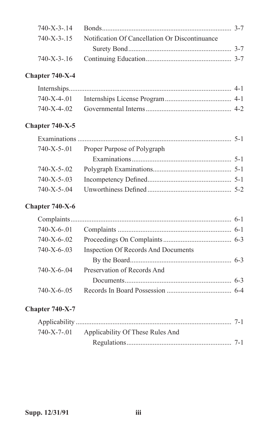| 740-X-3-.15 Notification Of Cancellation Or Discontinuance |  |
|------------------------------------------------------------|--|
|                                                            |  |
|                                                            |  |

#### **Chapter 740-X-4**

### **Chapter 740-X-5**

| 740-X-5-.01        | Proper Purpose of Polygraph |  |
|--------------------|-----------------------------|--|
|                    |                             |  |
| 740-X-5-.02        |                             |  |
| $740 - X - 5 - 03$ |                             |  |
|                    |                             |  |

### **Chapter 740-X-6**

| $740-X-6-01$       |                                            |  |
|--------------------|--------------------------------------------|--|
| $740 - X - 6 - 02$ |                                            |  |
| $740 - X - 6 - 03$ | <b>Inspection Of Records And Documents</b> |  |
|                    |                                            |  |
| $740 - X - 6 - 04$ | Preservation of Records And                |  |
|                    |                                            |  |
| $740 - X - 6 - 05$ |                                            |  |
|                    |                                            |  |

#### **Chapter 740-X-7**

| 740-X-7-01 Applicability Of These Rules And |  |
|---------------------------------------------|--|
|                                             |  |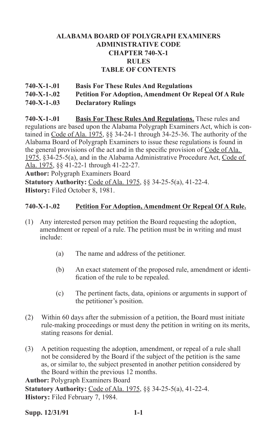#### **ALABAMA BOARD OF POLYGRAPH EXAMINERS ADMINISTRATIVE CODE CHAPTER 740-X-1 RULES TABLE OF CONTENTS**

| 740-X-1-.01 | <b>Basis For These Rules And Regulations</b>                |
|-------------|-------------------------------------------------------------|
| 740-X-1-.02 | <b>Petition For Adoption, Amendment Or Repeal Of A Rule</b> |
| 740-X-1-.03 | <b>Declaratory Rulings</b>                                  |

**740-X-1-.01 Basis For These Rules And Regulations.** These rules and regulations are based upon the Alabama Polygraph Examiners Act, which is contained in Code of Ala. 1975, §§ 34-24-1 through 34-25-36. The authority of the Alabama Board of Polygraph Examiners to issue these regulations is found in the general provisions of the act and in the specific provision of Code of Ala. 1975, §34-25-5(a), and in the Alabama Administrative Procedure Act, Code of Ala. 1975, §§ 41-22-1 through 41-22-27.

**Author:** Polygraph Examiners Board

**Statutory Authority:** Code of Ala. 1975, §§ 34-25-5(a), 41-22-4. **History:** Filed October 8, 1981.

#### **740-X-1-.02 Petition For Adoption, Amendment Or Repeal Of A Rule.**

- (1) Any interested person may petition the Board requesting the adoption, amendment or repeal of a rule. The petition must be in writing and must include:
	- (a) The name and address of the petitioner.
	- (b) An exact statement of the proposed rule, amendment or identi- fication of the rule to be repealed.
	- (c) The pertinent facts, data, opinions or arguments in support of the petitioner's position.
- (2) Within 60 days after the submission of a petition, the Board must initiate rule-making proceedings or must deny the petition in writing on its merits, stating reasons for denial.
- (3) A petition requesting the adoption, amendment, or repeal of a rule shall not be considered by the Board if the subject of the petition is the same as, or similar to, the subject presented in another petition considered by the Board within the previous 12 months.

**Author:** Polygraph Examiners Board **Statutory Authority:** Code of Ala. 1975, §§ 34-25-5(a), 41-22-4. **History:** Filed February 7, 1984.

**Supp. 12/31/91 1-1**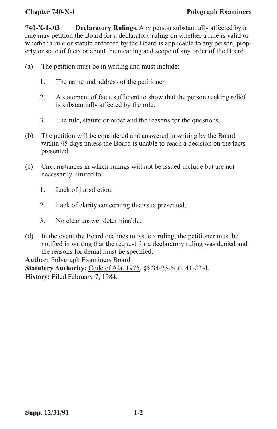**740-X-1-.03 Declaratory Rulings.** Any person substantially affected by a rule may petition the Board for a declaratory ruling on whether a rule is valid or whether a rule or statute enforced by the Board is applicable to any person, property or state of facts or about the meaning and scope of any order of the Board.

- (a) The petition must be in writing and must include:
	- 1. The name and address of the petitioner.
	- 2. A statement of facts sufficient to show that the person seeking relief is substantially affected by the rule.
	- 3. The rule, statute or order and the reasons for the questions.
- (b) The petition will be considered and answered in writing by the Board within 45 days unless the Board is unable to reach a decision on the facts presented.
- (c) Circumstances in which rulings will not be issued include but are not necessarily limited to:
	- 1. Lack of jurisdiction,
	- 2. Lack of clarity concerning the issue presented,
	- 3. No clear answer determinable.
- (d) In the event the Board declines to issue a ruling, the petitioner must be notified in writing that the request for a declaratory ruling was denied and the reasons for denial must be specified.

**Author:** Polygraph Examiners Board **Statutory Authority:** Code of Ala. 1975, §§ 34-25-5(a), 41-22-4. **History:** Filed February 7, 1984.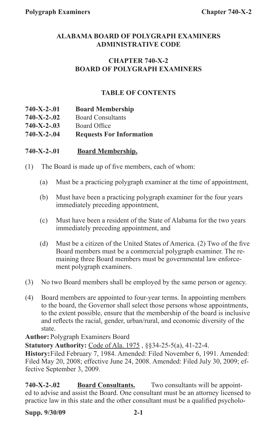#### **ALABAMA BOARD OF POLYGRAPH EXAMINERS ADMINISTRATIVE CODE**

#### **CHAPTER 740-X-2 BOARD OF POLYGRAPH EXAMINERS**

#### **TABLE OF CONTENTS**

- **740-X-2-.01 Board Membership**
- **740-X-2-.02** Board Consultants
- **740-X-2-.03** Board Office
- **740-X-2-.04 Requests For Information**

#### **740-X-2-.01 Board Membership.**

- (1) The Board is made up of five members, each of whom:
	- (a) Must be a practicing polygraph examiner at the time of appointment,
	- (b) Must have been a practicing polygraph examiner for the four years immediately preceding appointment,
	- (c) Must have been a resident of the State of Alabama for the two years immediately preceding appointment, and
	- (d) Must be a citizen of the United States of America. (2) Two of the five Board members must be a commercial polygraph examiner. The remaining three Board members must be governmental law enforcement polygraph examiners.
- (3) No two Board members shall be employed by the same person or agency.
- (4) Board members are appointed to four-year terms. In appointing members to the board, the Governor shall select those persons whose appointments, to the extent possible, ensure that the membership of the board is inclusive and reflects the racial, gender, urban/rural, and economic diversity of the state.

**Author:** Polygraph Examiners Board

**Statutory Authority:** Code of Ala. 1975 , §§34-25-5(a), 41-22-4.

**History:**Filed February 7, 1984. Amended: Filed November 6, 1991. Amended: Filed May 20, 2008; effective June 24, 2008. Amended: Filed July 30, 2009; effective September 3, 2009.

**740-X-2-.02 Board Consultants.** Two consultants will be appointed to advise and assist the Board. One consultant must be an attorney licensed to practice law in this state and the other consultant must be a qualified psycholo-

**Supp. 9/30/09 2-1**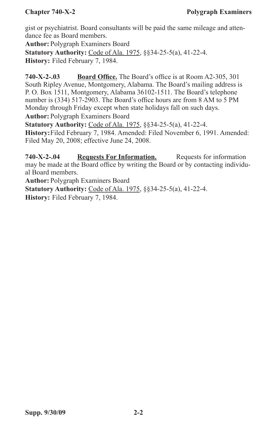gist or psychiatrist. Board consultants will be paid the same mileage and attendance fee as Board members.

**Author:** Polygraph Examiners Board

**Statutory Authority:** Code of Ala. 1975, §§34-25-5(a), 41-22-4. **History:** Filed February 7, 1984.

**740-X-2-.03 Board Office.** The Board's office is at Room A2-305, 301 South Ripley Avenue, Montgomery, Alabama. The Board's mailing address is P. O. Box 1511, Montgomery, Alabama 36102-1511. The Board's telephone number is (334) 517-2903. The Board's office hours are from 8 AM to 5 PM Monday through Friday except when state holidays fall on such days. **Author:** Polygraph Examiners Board

**Statutory Authority:** Code of Ala. 1975, §§34-25-5(a), 41-22-4. **History:**Filed February 7, 1984. Amended: Filed November 6, 1991. Amended: Filed May 20, 2008; effective June 24, 2008.

**740-X-2-.04 Requests For Information.** Requests for information may be made at the Board office by writing the Board or by contacting individual Board members.

**Author:** Polygraph Examiners Board

**Statutory Authority:** Code of Ala. 1975, §§34-25-5(a), 41-22-4. **History:** Filed February 7, 1984.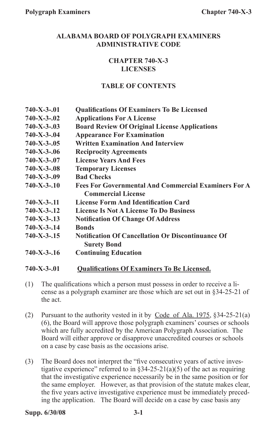#### **ALABAMA BOARD OF POLYGRAPH EXAMINERS ADMINISTRATIVE CODE**

#### **CHAPTER 740-X-3 LICENSES**

#### **TABLE OF CONTENTS**

- **740-X-3-.01 Qualifications Of Examiners To Be Licensed**
- **740-X-3-.02 Applications For A License**
- **740-X-3-.03 Board Review Of Original License Applications**
- **740-X-3-.04 Appearance For Examination**
- **740-X-3-.05 Written Examination And Interview**
- **740-X-3-.06 Reciprocity Agreements**
- **740-X-3-.07 License Years And Fees**
- **740-X-3-.08 Temporary Licenses**
- **740-X-3-.09 Bad Checks**
- **740-X-3-.10 Fees For Governmental And Commercial Examiners For A Commercial License**
- **740-X-3-.11 License Form And Identification Card**
- **740-X-3-.12 License Is Not A License To Do Business**
- **740-X-3-.13 Notification Of Change Of Address**
- **740-X-3-.14 Bonds**
- **740-X-3-.15 Notification Of Cancellation Or Discontinuance Of Surety Bond**
- **740-X-3-.16 Continuing Education**

#### **740-X-3-.01 Qualifications Of Examiners To Be Licensed.**

- (1) The qualifications which a person must possess in order to receive a license as a polygraph examiner are those which are set out in §34-25-21 of the act.
- (2) Pursuant to the authority vested in it by Code of Ala. 1975, §34-25-21(a) (6), the Board will approve those polygraph examiners' courses or schools which are fully accredited by the American Polygraph Association. The Board will either approve or disapprove unaccredited courses or schools on a case by case basis as the occasions arise.
- (3) The Board does not interpret the "five consecutive years of active investigative experience" referred to in  $\frac{234-25-21(a)}{5}$  of the act as requiring that the investigative experience necessarily be in the same position or for the same employer. However, as that provision of the statute makes clear, the five years active investigative experience must be immediately preceding the application. The Board will decide on a case by case basis any

#### **Supp. 6/30/08 3-1**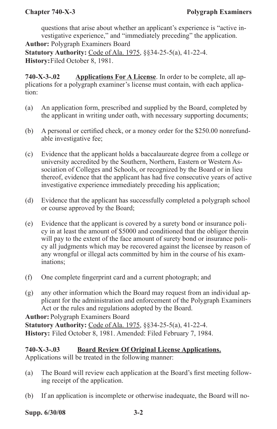questions that arise about whether an applicant's experience is "active investigative experience," and "immediately preceding" the application. **Author:** Polygraph Examiners Board

**Statutory Authority:** Code of Ala. 1975, §§34-25-5(a), 41-22-4. **History:**Filed October 8, 1981.

**740-X-3-.02 Applications For A License**. In order to be complete, all applications for a polygraph examiner's license must contain, with each application:

- (a) An application form, prescribed and supplied by the Board, completed by the applicant in writing under oath, with necessary supporting documents;
- (b) A personal or certified check, or a money order for the \$250.00 nonrefundable investigative fee;
- (c) Evidence that the applicant holds a baccalaureate degree from a college or university accredited by the Southern, Northern, Eastern or Western Association of Colleges and Schools, or recognized by the Board or in lieu thereof, evidence that the applicant has had five consecutive years of active investigative experience immediately preceding his application;
- (d) Evidence that the applicant has successfully completed a polygraph school or course approved by the Board;
- (e) Evidence that the applicant is covered by a surety bond or insurance policy in at least the amount of \$5000 and conditioned that the obligor therein will pay to the extent of the face amount of surety bond or insurance policy all judgments which may be recovered against the licensee by reason of any wrongful or illegal acts committed by him in the course of his examinations;
- (f) One complete fingerprint card and a current photograph; and
- (g) any other information which the Board may request from an individual applicant for the administration and enforcement of the Polygraph Examiners Act or the rules and regulations adopted by the Board.

**Author:** Polygraph Examiners Board **Statutory Authority:** Code of Ala. 1975, §§34-25-5(a), 41-22-4. **History:** Filed October 8, 1981. Amended: Filed February 7, 1984.

**740-X-3-.03 Board Review Of Original License Applications.** Applications will be treated in the following manner:

- (a) The Board will review each application at the Board's first meeting following receipt of the application.
- (b) If an application is incomplete or otherwise inadequate, the Board will no-

**Supp. 6/30/08 3-2**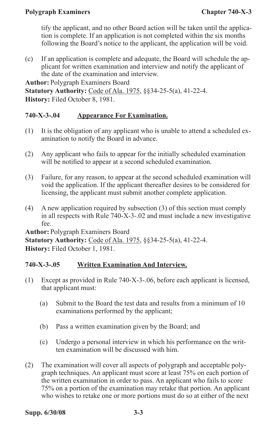tify the applicant, and no other Board action will be taken until the application is complete. If an application is not completed within the six months following the Board's notice to the applicant, the application will be void.

(c) If an application is complete and adequate, the Board will schedule the applicant for written examination and interview and notify the applicant of the date of the examination and interview.

**Author:** Polygraph Examiners Board

**Statutory Authority:** Code of Ala. 1975, §§34-25-5(a), 41-22-4. **History:** Filed October 8, 1981.

#### **740-X-3-.04 Appearance For Examination.**

- (1) It is the obligation of any applicant who is unable to attend a scheduled examination to notify the Board in advance.
- (2) Any applicant who fails to appear for the initially scheduled examination will be notified to appear at a second scheduled examination.
- (3) Failure, for any reason, to appear at the second scheduled examination will void the application. If the applicant thereafter desires to be considered for licensing, the applicant must submit another complete application.
- (4) A new application required by subsection (3) of this section must comply in all respects with Rule 740-X-3-.02 and must include a new investigative fee.

**Author:** Polygraph Examiners Board **Statutory Authority:** Code of Ala. 1975, §§34-25-5(a), 41-22-4. **History:** Filed October 1, 1981.

#### **740-X-3-.05 Written Examination And Interview.**

- (1) Except as provided in Rule 740-X-3-.06, before each applicant is licensed, that applicant must:
	- (a) Submit to the Board the test data and results from a minimum of 10 examinations performed by the applicant;
	- (b) Pass a written examination given by the Board; and
	- (c) Undergo a personal interview in which his performance on the written examination will be discussed with him.
- (2) The examination will cover all aspects of polygraph and acceptable polygraph techniques. An applicant must score at least 75% on each portion of the written examination in order to pass. An applicant who fails to score 75% on a portion of the examination may retake that portion. An applicant who wishes to retake one or more portions must do so at either of the next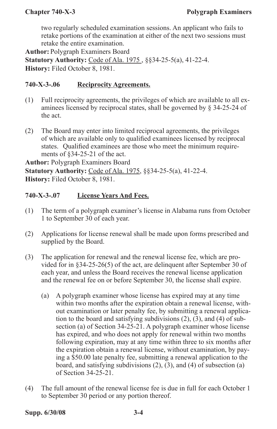two regularly scheduled examination sessions. An applicant who fails to retake portions of the examination at either of the next two sessions must retake the entire examination.

**Author:** Polygraph Examiners Board

**Statutory Authority:** Code of Ala. 1975 , §§34-25-5(a), 41-22-4. **History:** Filed October 8, 1981.

#### **740-X-3-.06 Reciprocity Agreements.**

- (1) Full reciprocity agreements, the privileges of which are available to all examinees licensed by reciprocal states, shall be governed by § 34-25-24 of the act.
- (2) The Board may enter into limited reciprocal agreements, the privileges of which are available only to qualified examinees licensed by reciprocal states. Qualified examinees are those who meet the minimum requirements of §34-25-21 of the act.

**Author:** Polygraph Examiners Board

**Statutory Authority:** Code of Ala. 1975, §§34-25-5(a), 41-22-4. **History:** Filed October 8, 1981.

#### **740-X-3-.07 License Years And Fees.**

- (1) The term of a polygraph examiner's license in Alabama runs from October 1 to September 30 of each year.
- (2) Applications for license renewal shall be made upon forms prescribed and supplied by the Board.
- (3) The application for renewal and the renewal license fee, which are provided for in §34-25-26(5) of the act, are delinquent after September 30 of each year, and unless the Board receives the renewal license application and the renewal fee on or before September 30, the license shall expire.
	- (a) A polygraph examiner whose license has expired may at any time within two months after the expiration obtain a renewal license, without examination or later penalty fee, by submitting a renewal application to the board and satisfying subdivisions (2), (3), and (4) of subsection (a) of Section 34-25-21. A polygraph examiner whose license has expired, and who does not apply for renewal within two months following expiration, may at any time within three to six months after the expiration obtain a renewal license, without examination, by paying a \$50.00 late penalty fee, submitting a renewal application to the board, and satisfying subdivisions (2), (3), and (4) of subsection (a) of Section 34-25-21.
- (4) The full amount of the renewal license fee is due in full for each October 1 to September 30 period or any portion thereof.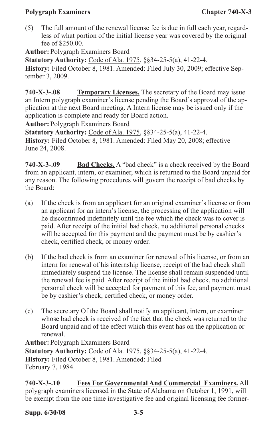#### **Polygraph Examiners Chapter 740-X-3**

(5) The full amount of the renewal license fee is due in full each year, regardless of what portion of the initial license year was covered by the original fee of \$250.00.

**Author:** Polygraph Examiners Board

**Statutory Authority:** Code of Ala. 1975, §§34-25-5(a), 41-22-4.

**History:** Filed October 8, 1981. Amended: Filed July 30, 2009; effective September 3, 2009.

**740-X-3-.08 Temporary Licenses.** The secretary of the Board may issue an Intern polygraph examiner's license pending the Board's approval of the application at the next Board meeting. A Intern license may be issued only if the application is complete and ready for Board action.

**Author:** Polygraph Examiners Board

**Statutory Authority:** Code of Ala. 1975, §§34-25-5(a), 41-22-4. **History:** Filed October 8, 1981. Amended: Filed May 20, 2008; effective June 24, 2008.

**740-X-3-.09 Bad Checks.** A "bad check" is a check received by the Board from an applicant, intern, or examiner, which is returned to the Board unpaid for any reason. The following procedures will govern the receipt of bad checks by the Board:

- (a) If the check is from an applicant for an original examiner's license or from an applicant for an intern's license, the processing of the application will he discontinued indefinitely until the fee which the check was to cover is paid. After receipt of the initial bad check, no additional personal checks will be accepted for this payment and the payment must be by cashier's check, certified check, or money order.
- (b) If the bad check is from an examiner for renewal of his license, or from an intern for renewal of his internship license, receipt of the bad check shall immediately suspend the license. The license shall remain suspended until the renewal fee is paid. After receipt of the initial bad check, no additional personal check will be accepted for payment of this fee, and payment must be by cashier's check, certified check, or money order.
- (c) The secretary Of the Board shall notify an applicant, intern, or examiner whose bad check is received of the fact that the check was returned to the Board unpaid and of the effect which this event has on the application or renewal.

**Author:** Polygraph Examiners Board **Statutory Authority:** Code of Ala. 1975, §§34-25-5(a), 41-22-4. **History:** Filed October 8, 1981. Amended: Filed February 7, 1984.

**740-X-3-.10 Fees For Governmental And Commercial Examiners.** All polygraph examiners licensed in the State of Alabama on October 1, 1991, will be exempt from the one time investigative fee and original licensing fee former-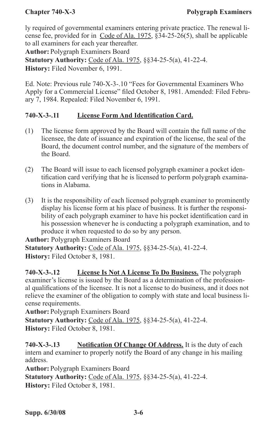ly required of governmental examiners entering private practice. The renewal license fee, provided for in Code of Ala. 1975, §34-25-26(5), shall be applicable to all examiners for each year thereafter. **Author:** Polygraph Examiners Board **Statutory Authority:** Code of Ala. 1975, §§34-25-5(a), 41-22-4. **History:** Filed November 6, 1991.

Ed. Note: Previous rule 740-X-3-10 "Fees for Governmental Examiners Who Apply for a Commercial License" filed October 8, 1981. Amended: Filed February 7, 1984. Repealed: Filed November 6, 1991.

#### **740-X-3-.11 License Form And Identification Card.**

- (1) The license form approved by the Board will contain the full name of the licensee, the date of issuance and expiration of the license, the seal of the Board, the document control number, and the signature of the members of the Board.
- (2) The Board will issue to each licensed polygraph examiner a pocket identification card verifying that he is licensed to perform polygraph examinations in Alabama.
- (3) It is the responsibility of each licensed polygraph examiner to prominently display his license form at his place of business. It is further the responsibility of each polygraph examiner to have his pocket identification card in his possession whenever he is conducting a polygraph examination, and to produce it when requested to do so by any person.

**Author:** Polygraph Examiners Board **Statutory Authority:** Code of Ala. 1975, §§34-25-5(a), 41-22-4. **History:** Filed October 8, 1981.

**740-X-3-.12 License Is Not A License To Do Business.** The polygraph examiner's license is issued by the Board as a determination of the professional qualifications of the licensee. It is not a license to do business, and it does not relieve the examiner of the obligation to comply with state and local business license requirements.

**Author:** Polygraph Examiners Board **Statutory Authority:** Code of Ala. 1975, §§34-25-5(a), 41-22-4. **History:** Filed October 8, 1981.

**740-X-3-.13 Notification Of Change Of Address.** It is the duty of each intern and examiner to properly notify the Board of any change in his mailing address.

**Author:** Polygraph Examiners Board **Statutory Authority:** Code of Ala. 1975, §§34-25-5(a), 41-22-4. **History:** Filed October 8, 1981.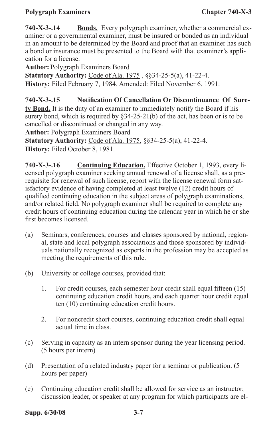#### **Polygraph Examiners Chapter 740-X-3**

**740-X-3-.14 Bonds.** Every polygraph examiner, whether a commercial examiner or a governmental examiner, must be insured or bonded as an individual in an amount to be determined by the Board and proof that an examiner has such a bond or insurance must be presented to the Board with that examiner's application for a license.

**Author:** Polygraph Examiners Board **Statutory Authority:** Code of Ala. 1975 , §§34-25-5(a), 41-22-4. **History:** Filed February 7, 1984. Amended: Filed November 6, 1991.

**740-X-3-.15 Notification Of Cancellation Or Discontinuance Of Surety Bond.** It is the duty of an examiner to immediately notify the Board if his surety bond, which is required by §34-25-21(b) of the act, has been or is to be cancelled or discontinued or changed in any way. **Author:** Polygraph Examiners Board **Statutory Authority:** Code of Ala. 1975, §§34-25-5(a), 41-22-4.

**History:** Filed October 8, 1981.

**740-X-3-.16 Continuing Education.** Effective October 1, 1993, every licensed polygraph examiner seeking annual renewal of a license shall, as a prerequisite for renewal of such license, report with the license renewal form satisfactory evidence of having completed at least twelve (12) credit hours of qualified continuing education in the subject areas of polygraph examinations, and/or related field. No polygraph examiner shall be required to complete any credit hours of continuing education during the calendar year in which he or she first becomes licensed.

- (a) Seminars, conferences, courses and classes sponsored by national, regional, state and local polygraph associations and those sponsored by individuals nationally recognized as experts in the profession may be accepted as meeting the requirements of this rule.
- (b) University or college courses, provided that:
	- 1. For credit courses, each semester hour credit shall equal fifteen (15) continuing education credit hours, and each quarter hour credit equal ten (10) continuing education credit hours.
	- 2. For noncredit short courses, continuing education credit shall equal actual time in class.
- (c) Serving in capacity as an intern sponsor during the year licensing period. (5 hours per intern)
- (d) Presentation of a related industry paper for a seminar or publication. (5 hours per paper)
- (e) Continuing education credit shall be allowed for service as an instructor, discussion leader, or speaker at any program for which participants are el-

#### **Supp. 6/30/08 3-7**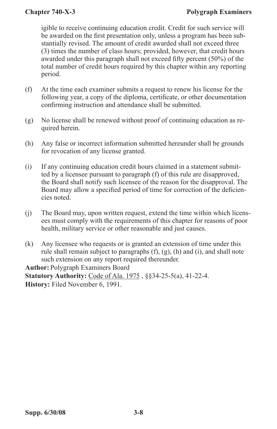igible to receive continuing education credit. Credit for such service will be awarded on the first presentation only, unless a program has been substantially revised. The amount of credit awarded shall not exceed three (3) times the number of class hours; provided, however, that credit hours awarded under this paragraph shall not exceed fifty percent (50%) of the total number of credit hours required by this chapter within any reporting period.

- (f) At the time each examiner submits a request to renew his license for the following year, a copy of the diploma, certificate, or other documentation confirming instruction and attendance shall be submitted.
- (g) No license shall be renewed without proof of continuing education as required herein.
- (h) Any false or incorrect information submitted hereunder shall be grounds for revocation of any license granted.
- (i) If any continuing education credit hours claimed in a statement submitted by a licensee pursuant to paragraph (f) of this rule are disapproved, the Board shall notify such licensee of the reason for the disapproval. The Board may allow a specified period of time for correction of the deficiencies noted.
- (j) The Board may, upon written request, extend the time within which licensees must comply with the requirements of this chapter for reasons of poor health, military service or other reasonable and just causes.
- (k) Any licensee who requests or is granted an extension of time under this rule shall remain subject to paragraphs (f), (g), (h) and (i), and shall note such extension on any report required thereunder.

**Author:** Polygraph Examiners Board

**Statutory Authority:** Code of Ala. 1975 , §§34-25-5(a), 41-22-4. **History:** Filed November 6, 1991.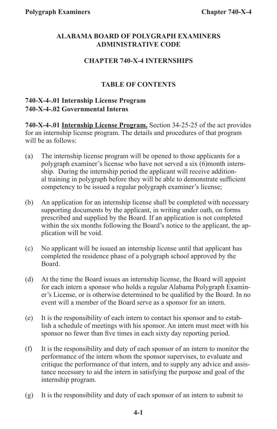#### **ALABAMA BOARD OF POLYGRAPH EXAMINERS ADMINISTRATIVE CODE**

#### **CHAPTER 740-X-4 INTERNSHIPS**

#### **TABLE OF CONTENTS**

#### **740-X-4-.01 Internship License Program 740-X-4-.02 Governmental Interns**

**740-X-4-.01 Internship License Program.** Section 34-25-25 of the act provides for an internship license program. The details and procedures of that program will be as follows:

- (a) The internship license program will be opened to those applicants for a polygraph examiner's license who have not served a six (6)month internship. During the internship period the applicant will receive additional training in polygraph before they will be able to demonstrate sufficient competency to be issued a regular polygraph examiner's license;
- (b) An application for an internship license shall be completed with necessary supporting documents by the applicant, in writing under oath, on forms prescribed and supplied by the Board. If an application is not completed within the six months following the Board's notice to the applicant, the application will be void.
- (c) No applicant will be issued an internship license until that applicant has completed the residence phase of a polygraph school approved by the Board.
- (d) At the time the Board issues an internship license, the Board will appoint for each intern a sponsor who holds a regular Alabama Polygraph Examiner's License, or is otherwise determined to be qualified by the Board. In no event will a member of the Board serve as a sponsor for an intern.
- (e) It is the responsibility of each intern to contact his sponsor and to establish a schedule of meetings with his sponsor. An intern must meet with his sponsor no fewer than five times in each sixty day reporting period.
- (f) It is the responsibility and duty of each sponsor of an intern to monitor the performance of the intern whom the sponsor supervises, to evaluate and critique the performance of that intern, and to supply any advice and assistance necessary to aid the intern in satisfying the purpose and goal of the internship program.
- (g) It is the responsibility and duty of each sponsor of an intern to submit to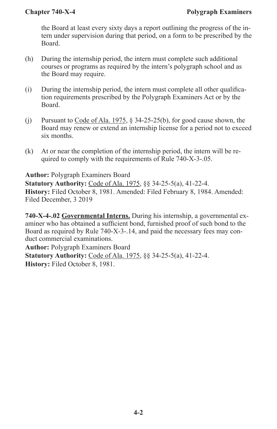the Board at least every sixty days a report outlining the progress of the intern under supervision during that period, on a form to be prescribed by the Board.

- (h) During the internship period, the intern must complete such additional courses or programs as required by the intern's polygraph school and as the Board may require.
- (i) During the internship period, the intern must complete all other qualification requirements prescribed by the Polygraph Examiners Act or by the Board.
- (j) Pursuant to Code of Ala. 1975, § 34-25-25(b), for good cause shown, the Board may renew or extend an internship license for a period not to exceed six months.
- (k) At or near the completion of the internship period, the intern will be required to comply with the requirements of Rule 740-X-3-.05.

**Author:** Polygraph Examiners Board **Statutory Authority:** Code of Ala. 1975, §§ 34-25-5(a), 41-22-4. **History:** Filed October 8, 1981. Amended: Filed February 8, 1984. Amended: Filed December, 3 2019

**740-X-4-.02 Governmental Interns.** During his internship, a governmental examiner who has obtained a sufficient bond, furnished proof of such bond to the Board as required by Rule 740-X-3-.14, and paid the necessary fees may conduct commercial examinations.

**Author:** Polygraph Examiners Board **Statutory Authority:** Code of Ala. 1975, §§ 34-25-5(a), 41-22-4. **History:** Filed October 8, 1981.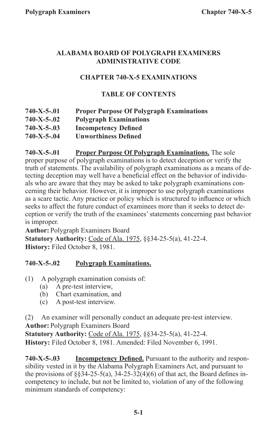#### **ALABAMA BOARD OF POLYGRAPH EXAMINERS ADMINISTRATIVE CODE**

#### **CHAPTER 740-X-5 EXAMINATIONS**

#### **TABLE OF CONTENTS**

- **740-X-5-.01 Proper Purpose Of Polygraph Examinations**
- **740-X-5-.02 Polygraph Examinations**
- **740-X-5-.03 Incompetency Defined**
- **740-X-5-.04 Unworthiness Defined**

**740-X-5-.01 Proper Purpose Of Polygraph Examinations.** The sole proper purpose of polygraph examinations is to detect deception or verify the truth of statements. The availability of polygraph examinations as a means of detecting deception may well have a beneficial effect on the behavior of individuals who are aware that they may be asked to take polygraph examinations concerning their behavior. However, it is improper to use polygraph examinations as a scare tactic. Any practice or policy which is structured to influence or which seeks to affect the future conduct of examinees more than it seeks to detect deception or verify the truth of the examinees' statements concerning past behavior is improper.

**Author:** Polygraph Examiners Board **Statutory Authority:** Code of Ala. 1975, §§34-25-5(a), 41-22-4. **History:** Filed October 8, 1981.

#### **740-X-5-.02 Polygraph Examinations.**

- (1) A polygraph examination consists of:
	- (a) A pre-test interview,
	- (b) Chart examination, and
	- (c) A post-test interview.

(2) An examiner will personally conduct an adequate pre-test interview.

**Author:** Polygraph Examiners Board

**Statutory Authority:** Code of Ala. 1975, §§34-25-5(a), 41-22-4.

**History:** Filed October 8, 1981. Amended: Filed November 6, 1991.

**740-X-5-.03 Incompetency Defined.** Pursuant to the authority and responsibility vested in it by the Alabama Polygraph Examiners Act, and pursuant to the provisions of  $\S$ §34-25-5(a), 34-25-32(4)(6) of that act, the Board defines incompetency to include, but not be limited to, violation of any of the following minimum standards of competency: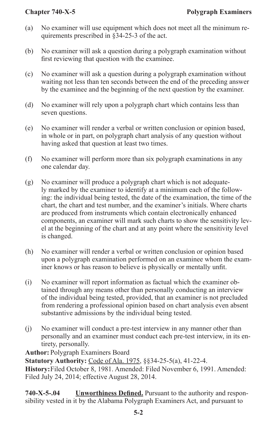- (a) No examiner will use equipment which does not meet all the minimum requirements prescribed in §34-25-3 of the act.
- (b) No examiner will ask a question during a polygraph examination without first reviewing that question with the examinee.
- (c) No examiner will ask a question during a polygraph examination without waiting not less than ten seconds between the end of the preceding answer by the examinee and the beginning of the next question by the examiner.
- (d) No examiner will rely upon a polygraph chart which contains less than seven questions.
- (e) No examiner will render a verbal or written conclusion or opinion based, in whole or in part, on polygraph chart analysis of any question without having asked that question at least two times.
- (f) No examiner will perform more than six polygraph examinations in any one calendar day.
- (g) No examiner will produce a polygraph chart which is not adequately marked by the examiner to identify at a minimum each of the following: the individual being tested, the date of the examination, the time of the chart, the chart and test number, and the examiner's initials. Where charts are produced from instruments which contain electronically enhanced components, an examiner will mark such charts to show the sensitivity level at the beginning of the chart and at any point where the sensitivity level is changed.
- (h) No examiner will render a verbal or written conclusion or opinion based upon a polygraph examination performed on an examinee whom the examiner knows or has reason to believe is physically or mentally unfit.
- (i) No examiner will report information as factual which the examiner obtained through any means other than personally conducting an interview of the individual being tested, provided, that an examiner is not precluded from rendering a professional opinion based on chart analysis even absent substantive admissions by the individual being tested.
- (j) No examiner will conduct a pre-test interview in any manner other than personally and an examiner must conduct each pre-test interview, in its entirety, personally.

**Author:** Polygraph Examiners Board **Statutory Authority:** Code of Ala. 1975, §§34-25-5(a), 41-22-4. **History:**Filed October 8, 1981. Amended: Filed November 6, 1991. Amended: Filed July 24, 2014; effective August 28, 2014.

**740-X-5-.04 Unworthiness Defined.** Pursuant to the authority and responsibility vested in it by the Alabama Polygraph Examiners Act, and pursuant to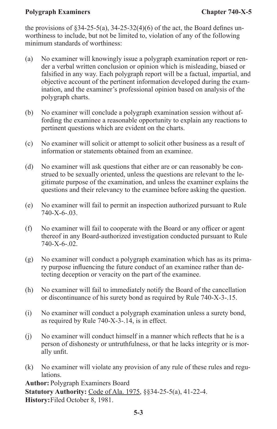#### **Polygraph Examiners Chapter 740-X-5**

the provisions of  $\S 34-25-5(a)$ ,  $34-25-32(4)(6)$  of the act, the Board defines unworthiness to include, but not be limited to, violation of any of the following minimum standards of worthiness:

- (a) No examiner will knowingly issue a polygraph examination report or render a verbal written conclusion or opinion which is misleading, biased or falsified in any way. Each polygraph report will be a factual, impartial, and objective account of the pertinent information developed during the examination, and the examiner's professional opinion based on analysis of the polygraph charts.
- (b) No examiner will conclude a polygraph examination session without affording the examinee a reasonable opportunity to explain any reactions to pertinent questions which are evident on the charts.
- (c) No examiner will solicit or attempt to solicit other business as a result of information or statements obtained from an examinee.
- (d) No examiner will ask questions that either are or can reasonably be construed to be sexually oriented, unless the questions are relevant to the legitimate purpose of the examination, and unless the examiner explains the questions and their relevancy to the examinee before asking the question.
- (e) No examiner will fail to permit an inspection authorized pursuant to Rule 740-X-6-.03.
- (f) No examiner will fail to cooperate with the Board or any officer or agent thereof in any Board-authorized investigation conducted pursuant to Rule 740-X-6-.02.
- (g) No examiner will conduct a polygraph examination which has as its primary purpose influencing the future conduct of an examinee rather than detecting deception or veracity on the part of the examinee.
- (h) No examiner will fail to immediately notify the Board of the cancellation or discontinuance of his surety bond as required by Rule 740-X-3-.15.
- (i) No examiner will conduct a polygraph examination unless a surety bond, as required by Rule 740-X-3-.14, is in effect.
- (j) No examiner will conduct himself in a manner which reflects that he is a person of dishonesty or untruthfulness, or that he lacks integrity or is morally unfit.
- (k) No examiner will violate any provision of any rule of these rules and regu**lations**

**Author:** Polygraph Examiners Board **Statutory Authority:** Code of Ala. 1975, §§34-25-5(a), 41-22-4. **History:**Filed October 8, 1981.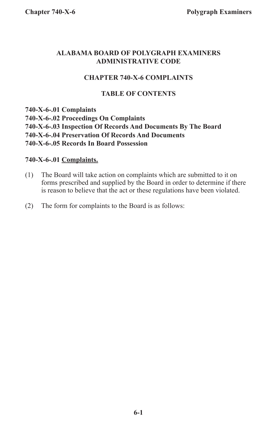#### **ALABAMA BOARD OF POLYGRAPH EXAMINERS ADMINISTRATIVE CODE**

#### **CHAPTER 740-X-6 COMPLAINTS**

#### **TABLE OF CONTENTS**

**740-X-6-.01 Complaints**

**740-X-6-.02 Proceedings On Complaints**

**740-X-6-.03 Inspection Of Records And Documents By The Board**

**740-X-6-.04 Preservation Of Records And Documents**

**740-X-6-.05 Records In Board Possession**

#### **740-X-6-.01 Complaints.**

- (1) The Board will take action on complaints which are submitted to it on forms prescribed and supplied by the Board in order to determine if there is reason to believe that the act or these regulations have been violated.
- (2) The form for complaints to the Board is as follows: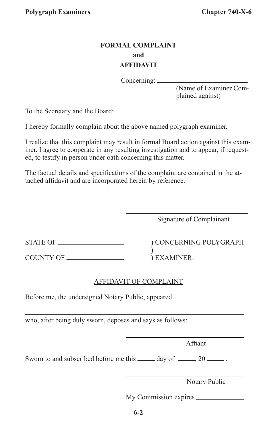#### **FORMAL COMPLAINT and AFFIDAVIT**

Concerning:

(Name of Examiner Complained against)

To the Secretary and the Board:

I hereby formally complain about the above named polygraph examiner.

I realize that this complaint may result in formal Board action against this examiner. I agree to cooperate in any resulting investigation and to appear, if requested, to testify in person under oath concerning this matter.

The factual details and specifications of the complaint are contained in the attached affidavit and are incorporated herein by reference.

Signature of Complainant

STATE OF  $\qquad \qquad$  ) CONCERNING POLYGRAPH

 $)$ COUNTY OF ) EXAMINER:

### AFFIDAVIT OF COMPLAINT

Before me, the undersigned Notary Public, appeared

who, after being duly sworn, deposes and says as follows:

Affiant

Sworn to and subscribed before me this  $\frac{1}{\sqrt{2}}$  day of  $\frac{1}{\sqrt{2}}$ .

Notary Public

My Commission expires

**6-2**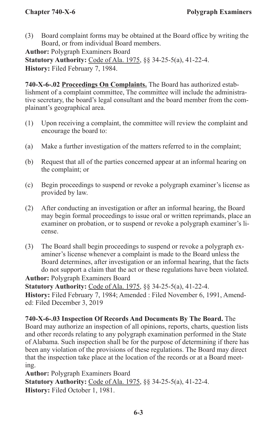(3) Board complaint forms may be obtained at the Board office by writing the Board, or from individual Board members.

**Author:** Polygraph Examiners Board **Statutory Authority:** Code of Ala. 1975, §§ 34-25-5(a), 41-22-4. **History:** Filed February 7, 1984.

**740-X-6-.02 Proceedings On Complaints.** The Board has authorized establishment of a complaint committee, The committee will include the administrative secretary, the board's legal consultant and the board member from the complainant's geographical area.

- (1) Upon receiving a complaint, the committee will review the complaint and encourage the board to:
- (a) Make a further investigation of the matters referred to in the complaint;
- (b) Request that all of the parties concerned appear at an informal hearing on the complaint; or
- (c) Begin proceedings to suspend or revoke a polygraph examiner's license as provided by law.
- (2) After conducting an investigation or after an informal hearing, the Board may begin formal proceedings to issue oral or written reprimands, place an examiner on probation, or to suspend or revoke a polygraph examiner's license.
- (3) The Board shall begin proceedings to suspend or revoke a polygraph examiner's license whenever a complaint is made to the Board unless the Board determines, after investigation or an informal hearing, that the facts do not support a claim that the act or these regulations have been violated.

**Author:** Polygraph Examiners Board **Statutory Authority:** Code of Ala. 1975, §§ 34-25-5(a), 41-22-4.

**History:** Filed February 7, 1984; Amended : Filed November 6, 1991, Amended: Filed December 3, 2019

**740-X-6-.03 Inspection Of Records And Documents By The Board.** The Board may authorize an inspection of all opinions, reports, charts, question lists and other records relating to any polygraph examination performed in the State of Alabama. Such inspection shall be for the purpose of determining if there has been any violation of the provisions of these regulations. The Board may direct that the inspection take place at the location of the records or at a Board meeting.

**Author:** Polygraph Examiners Board **Statutory Authority:** Code of Ala. 1975, §§ 34-25-5(a), 41-22-4. **History:** Filed October 1, 1981.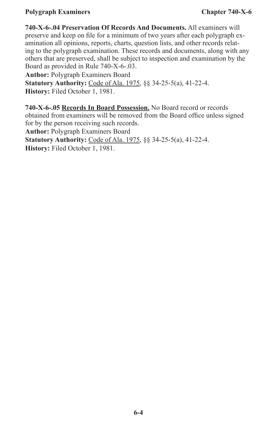**740-X-6-.04 Preservation Of Records And Documents.** All examiners will preserve and keep on file for a minimum of two years after each polygraph examination all opinions, reports, charts, question lists, and other records relating to the polygraph examination. These records and documents, along with any others that are preserved, shall be subject to inspection and examination by the Board as provided in Rule 740-X-6-.03.

**Author:** Polygraph Examiners Board

**Statutory Authority:** Code of Ala. 1975, §§ 34-25-5(a), 41-22-4. **History:** Filed October 1, 1981.

**740-X-6-.05 Records In Board Possession.** No Board record or records obtained from examiners will be removed from the Board office unless signed for by the person receiving such records. **Author:** Polygraph Examiners Board **Statutory Authority:** Code of Ala. 1975, §§ 34-25-5(a), 41-22-4. **History:** Filed October 1, 1981.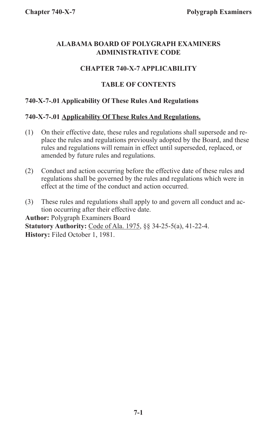#### **ALABAMA BOARD OF POLYGRAPH EXAMINERS ADMINISTRATIVE CODE**

#### **CHAPTER 740-X-7 APPLICABILITY**

#### **TABLE OF CONTENTS**

#### **740-X-7-.01 Applicability Of These Rules And Regulations**

#### **740-X-7-.01 Applicability Of These Rules And Regulations.**

- (1) On their effective date, these rules and regulations shall supersede and replace the rules and regulations previously adopted by the Board, and these rules and regulations will remain in effect until superseded, replaced, or amended by future rules and regulations.
- (2) Conduct and action occurring before the effective date of these rules and regulations shall be governed by the rules and regulations which were in effect at the time of the conduct and action occurred.
- (3) These rules and regulations shall apply to and govern all conduct and action occurring after their effective date.

**Author:** Polygraph Examiners Board **Statutory Authority:** Code of Ala. 1975, §§ 34-25-5(a), 41-22-4.

**History:** Filed October 1, 1981.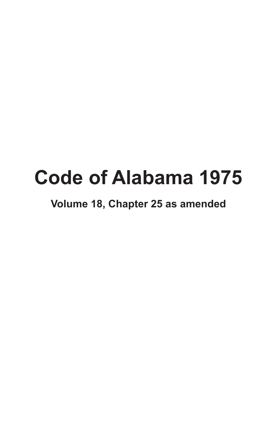# **Code of Alabama 1975**

## **Volume 18, Chapter 25 as amended**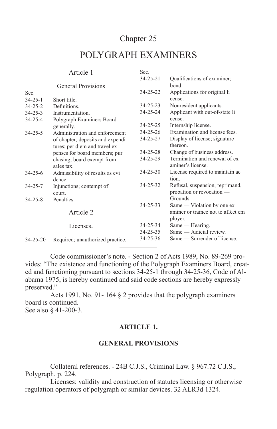### Chapter 25

### POLYGRAPH EXAMINERS

| Article 1                 |                                          | Sec.           |                                                    |
|---------------------------|------------------------------------------|----------------|----------------------------------------------------|
|                           |                                          | $34 - 25 - 21$ | Qualifications of examiner;                        |
| <b>General Provisions</b> |                                          |                | bond.                                              |
| Sec.                      |                                          | $34 - 25 - 22$ | Applications for original li                       |
| $34 - 25 - 1$             | Short title.                             |                | cense.                                             |
| $34 - 25 - 2$             | Definitions.                             | $34 - 25 - 23$ | Nonresident applicants.                            |
| $34 - 25 - 3$             | Instrumentation.                         | $34 - 25 - 24$ | Applicant with out-of-state li                     |
| 34-25-4                   | Polygraph Examiners Board                |                | cense.                                             |
|                           | generally.                               | $34 - 25 - 25$ | Internship license.                                |
| $34 - 25 - 5$             | Administration and enforcement           | $34 - 25 - 26$ | Examination and license fees.                      |
|                           | of chapter; deposits and expendi         | 34-25-27       | Display of license; signature                      |
|                           | tures; per diem and travel ex            |                | thereon                                            |
|                           | penses for board members; pur            | $34 - 25 - 28$ | Change of business address.                        |
|                           | chasing; board exempt from<br>sales tax. | 34-25-29       | Termination and renewal of ex<br>aminer's license. |
| $34 - 25 - 6$             | Admissibility of results as evi          | $34 - 25 - 30$ | License required to maintain ac                    |
|                           | dence.                                   |                | tion.                                              |
| $34 - 25 - 7$             | Injunctions; contempt of                 | 34-25-32       | Refusal, suspension, reprimand,                    |
|                           | court.                                   |                | probation or revocation -                          |
| $34 - 25 - 8$             | Penalties.                               |                | <b>Grounds</b>                                     |
|                           |                                          | $34 - 25 - 33$ | Same — Violation by one ex                         |
|                           | Article 2                                |                | aminer or trainee not to affect em                 |
|                           |                                          |                | ployer.                                            |
|                           | Licenses.                                | $34 - 25 - 34$ | Same — Hearing.                                    |
|                           |                                          | $34 - 25 - 35$ | Same — Judicial review.                            |
| $34 - 25 - 20$            | Required; unauthorized practice.         | $34 - 25 - 36$ | Same — Surrender of license.                       |
|                           |                                          |                |                                                    |

Code commissioner's note. - Section 2 of Acts 1989, No. 89-269 provides: "The existence and functioning of the Polygraph Examiners Board, created and functioning pursuant to sections 34-25-1 through 34-25-36, Code of Alabama 1975, is hereby continued and said code sections are hereby expressly preserved."

Acts 1991, No. 91- 164 § 2 provides that the polygraph examiners board is continued. See also § 41-200-3.

#### **ARTICLE 1.**

#### **GENERAL PROVISIONS**

Collateral references. - 24B C.J.S., Criminal Law. § 967.72 C.J.S., Polygraph. p. 224.

Licenses: validity and construction of statutes licensing or otherwise regulation operators of polygraph or similar devices. 32 ALR3d 1324.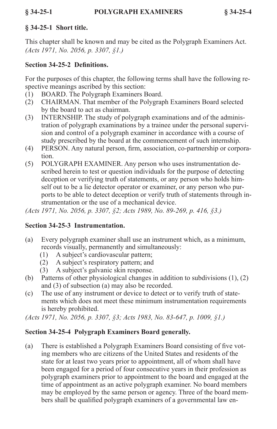### **§ 34-25-1 Short title.**

This chapter shall be known and may be cited as the Polygraph Examiners Act. *(Acts 1971, No. 2056, p. 3307, §1.)* 

### **Section 34-25-2 Definitions.**

For the purposes of this chapter, the following terms shall have the following respective meanings ascribed by this section:

- (1) BOARD. The Polygraph Examiners Board.
- (2) CHAIRMAN. That member of the Polygraph Examiners Board selected by the board to act as chairman.
- (3) INTERNSHIP. The study of polygraph examinations and of the administration of polygraph examinations by a trainee under the personal supervision and control of a polygraph examiner in accordance with a course of study prescribed by the board at the commencement of such internship.
- (4) PERSON. Any natural person, firm, association, co-partnership or corporation.
- (5) POLYGRAPH EXAMINER. Any person who uses instrumentation described herein to test or question individuals for the purpose of detecting deception or verifying truth of statements, or any person who holds himself out to be a lie detector operator or examiner, or any person who purports to be able to detect deception or verify truth of statements through instrumentation or the use of a mechanical device.

*(Acts 1971, No. 2056, p. 3307, §2; Acts 1989, No. 89-269, p. 416, §3.)*

### **Section 34-25-3 Instrumentation.**

- (a) Every polygraph examiner shall use an instrument which, as a minimum, records visually, permanently and simultaneously:
	- (1) A subject's cardiovascular pattern;
	- (2) A subject's respiratory pattern; and
	- (3) A subject's galvanic skin response.
- (b) Patterns of other physiological changes in addition to subdivisions (1), (2) and (3) of subsection (a) may also be recorded.
- (c) The use of any instrument or device to detect or to verify truth of statements which does not meet these minimum instrumentation requirements is hereby prohibited.

*(Acts 1971, No. 2056, p. 3307, §3; Acts 1983, No. 83-647, p. 1009, §1.)*

### **Section 34-25-4 Polygraph Examiners Board generally.**

(a) There is established a Polygraph Examiners Board consisting of five voting members who are citizens of the United States and residents of the state for at least two years prior to appointment, all of whom shall have been engaged for a period of four consecutive years in their profession as polygraph examiners prior to appointment to the board and engaged at the time of appointment as an active polygraph examiner. No board members may be employed by the same person or agency. Three of the board members shall be qualified polygraph examiners of a governmental law en-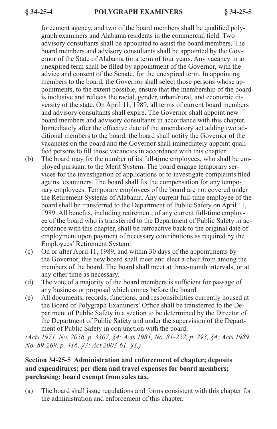forcement agency, and two of the board members shall be qualified polygraph examiners and Alabama residents in the commercial field. Two advisory consultants shall be appointed to assist the board members. The board members and advisory consultants shall be appointed by the Governor of the State of Alabama for a term of four years. Any vacancy in an unexpired term shall be filled by appointment of the Governor, with the advice and consent of the Senate, for the unexpired term. In appointing members to the board, the Governor shall select those persons whose appointments, to the extent possible, ensure that the membership of the board is inclusive and reflects the racial, gender, urban/rural, and economic diversity of the state. On April 11, 1989, all terms of current board members and advisory consultants shall expire. The Governor shall appoint new board members and advisory consultants in accordance with this chapter. Immediately after the effective date of the amendatory act adding two additional members to the board, the board shall notify the Governor of the vacancies on the board and the Governor shall immediately appoint qualified persons to fill those vacancies in accordance with this chapter.

- (b) The board may fix the number of its full-time employees, who shall be employed pursuant to the Merit System. The board engage temporary services for the investigation of applications or to investigate complaints filed against examiners. The board shall fix the compensation for any temporary employees. Temporary employees of the board are not covered under the Retirement Systems of Alabama. Any current full-time employee of the board shall be transferred to the Department of Public Safety on April 11, 1989. All benefits, including retirement, of any current full-time employee of the board who is transferred to the Department of Public Safety in accordance with this chapter, shall be retroactive back to the original date of employment upon payment of necessary contributions as required by the Employees' Retirement System.
- (c) On or after April 11, 1989, and within 30 days of the appointments by the Governor, this new board shall meet and elect a chair from among the members of the board. The board shall meet at three-month intervals, or at any other time as necessary.
- (d) The vote of a majority of the board members is sufficient for passage of any business or proposal which comes before the board.
- (e) All documents, records, functions, and responsibilities currently housed at the Board of Polygraph Examiners' Office shall be transferred to the Department of Public Safety in a section to be determined by the Director of the Department of Public Safety and under the supervision of the Department of Public Safety in conjunction with the board.

*(Acts 1971, No. 2056, p. 3307, §4; Acts 1981, No. 81-222, p. 293, §4; Acts 1989, No. 89-269, p. 416, §3; Act 2003-61, §3.)*

#### **Section 34-25-5 Administration and enforcement of chapter; deposits and expenditures; per diem and travel expenses for board members; purchasing; board exempt from sales tax.**

(a) The board shall issue regulations and forms consistent with this chapter for the administration and enforcement of this chapter.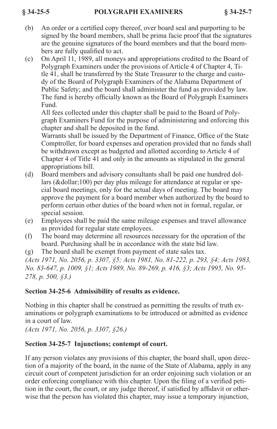- (b) An order or a certified copy thereof, over board seal and purporting to be signed by the board members, shall be prima facie proof that the signatures are the genuine signatures of the board members and that the board members are fully qualified to act.
- (c) On April 11, 1989, all moneys and appropriations credited to the Board of Polygraph Examiners under the provisions of Article 4 of Chapter 4, Title 41, shall be transferred by the State Treasurer to the charge and custody of the Board of Polygraph Examiners of the Alabama Department of Public Safety; and the board shall administer the fund as provided by law. The fund is hereby officially known as the Board of Polygraph Examiners Fund.

All fees collected under this chapter shall be paid to the Board of Polygraph Examiners Fund for the purpose of administering and enforcing this chapter and shall be deposited in the fund.

 Warrants shall be issued by the Department of Finance, Office of the State Comptroller, for board expenses and operation provided that no funds shall be withdrawn except as budgeted and allotted according to Article 4 of Chapter 4 of Title 41 and only in the amounts as stipulated in the general appropriations bill.

- (d) Board members and advisory consultants shall be paid one hundred dollars ( $\&$ dollar; 100) per day plus mileage for attendance at regular or special board meetings, only for the actual days of meeting. The board may approve the payment for a board member when authorized by the board to perform certain other duties of the board when not in formal, regular, or special session.
- (e) Employees shall be paid the same mileage expenses and travel allowance as provided for regular state employees.
- (f) The board may determine all resources necessary for the operation of the board. Purchasing shall be in accordance with the state bid law.
- (g) The board shall be exempt from payment of state sales tax.

*(Acts 1971, No. 2056, p. 3307, §5; Acts 1981, No. 81-222, p. 293, §4; Acts 1983, No. 83-647, p. 1009, §1; Acts 1989, No. 89-269, p. 416, §3; Acts 1995, No. 95- 278, p. 500, §3.)*

#### **Section 34-25-6 Admissibility of results as evidence.**

Nothing in this chapter shall be construed as permitting the results of truth examinations or polygraph examinations to be introduced or admitted as evidence in a court of law.

*(Acts 1971, No. 2056, p. 3307, §26.)*

#### **Section 34-25-7 Injunctions; contempt of court.**

If any person violates any provisions of this chapter, the board shall, upon direction of a majority of the board, in the name of the State of Alabama, apply in any circuit court of competent jurisdiction for an order enjoining such violation or an order enforcing compliance with this chapter. Upon the filing of a verified petition in the court, the court, or any judge thereof, if satisfied by affidavit or otherwise that the person has violated this chapter, may issue a temporary injunction,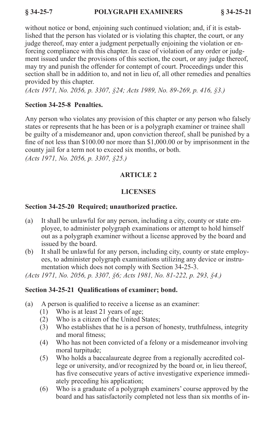#### **§ 34-25-7 POLYGRAPH EXAMINERS § 34-25-21**

without notice or bond, enjoining such continued violation; and, if it is established that the person has violated or is violating this chapter, the court, or any judge thereof, may enter a judgment perpetually enjoining the violation or enforcing compliance with this chapter. In case of violation of any order or judgment issued under the provisions of this section, the court, or any judge thereof, may try and punish the offender for contempt of court. Proceedings under this section shall be in addition to, and not in lieu of, all other remedies and penalties provided by this chapter.

*(Acts 1971, No. 2056, p. 3307, §24; Acts 1989, No. 89-269, p. 416, §3.)*

#### **Section 34-25-8 Penalties.**

Any person who violates any provision of this chapter or any person who falsely states or represents that he has been or is a polygraph examiner or trainee shall be guilty of a misdemeanor and, upon conviction thereof, shall be punished by a fine of not less than \$100.00 nor more than \$1,000.00 or by imprisonment in the county jail for a term not to exceed six months, or both. *(Acts 1971, No. 2056, p. 3307, §25.)*

**ARTICLE 2**

#### **LICENSES**

#### **Section 34-25-20 Required; unauthorized practice.**

- (a) It shall be unlawful for any person, including a city, county or state employee, to administer polygraph examinations or attempt to hold himself out as a polygraph examiner without a license approved by the board and issued by the board.
- (b) It shall be unlawful for any person, including city, county or state employees, to administer polygraph examinations utilizing any device or instrumentation which does not comply with Section 34-25-3.

*(Acts 1971, No. 2056, p. 3307, §6; Acts 1981, No. 81-222, p. 293, §4.)*

#### **Section 34-25-21 Qualifications of examiner; bond.**

- (a) A person is qualified to receive a license as an examiner:
	- (1) Who is at least 21 years of age;
	- (2) Who is a citizen of the United States;
	- (3) Who establishes that he is a person of honesty, truthfulness, integrity and moral fitness;
	- (4) Who has not been convicted of a felony or a misdemeanor involving moral turpitude;
	- (5) Who holds a baccalaureate degree from a regionally accredited college or university, and/or recognized by the board or, in lieu thereof, has five consecutive years of active investigative experience immediately preceding his application;
	- (6) Who is a graduate of a polygraph examiners' course approved by the board and has satisfactorily completed not less than six months of in-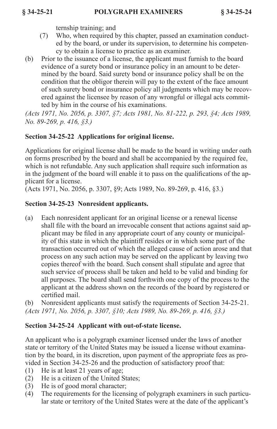ternship training; and

- (7) Who, when required by this chapter, passed an examination conducted by the board, or under its supervision, to determine his competency to obtain a license to practice as an examiner.
- (b) Prior to the issuance of a license, the applicant must furnish to the board evidence of a surety bond or insurance policy in an amount to be determined by the board. Said surety bond or insurance policy shall be on the condition that the obligor therein will pay to the extent of the face amount of such surety bond or insurance policy all judgments which may be recovered against the licensee by reason of any wrongful or illegal acts committed by him in the course of his examinations.

*(Acts 1971, No. 2056, p. 3307, §7; Acts 1981, No. 81-222, p. 293, §4; Acts 1989, No. 89-269, p. 416, §3.)*

#### **Section 34-25-22 Applications for original license.**

Applications for original license shall be made to the board in writing under oath on forms prescribed by the board and shall be accompanied by the required fee, which is not refundable. Any such application shall require such information as in the judgment of the board will enable it to pass on the qualifications of the applicant for a license.

(Acts 1971, No. 2056, p. 3307, §9; Acts 1989, No. 89-269, p. 416, §3.)

#### **Section 34-25-23 Nonresident applicants.**

(a) Each nonresident applicant for an original license or a renewal license shall file with the board an irrevocable consent that actions against said applicant may be filed in any appropriate court of any county or municipality of this state in which the plaintiff resides or in which some part of the transaction occurred out of which the alleged cause of action arose and that process on any such action may be served on the applicant by leaving two copies thereof with the board. Such consent shall stipulate and agree that such service of process shall be taken and held to be valid and binding for all purposes. The board shall send forthwith one copy of the process to the applicant at the address shown on the records of the board by registered or certified mail.

(b) Nonresident applicants must satisfy the requirements of Section 34-25-21. *(Acts 1971, No. 2056, p. 3307, §10; Acts 1989, No. 89-269, p. 416, §3.)*

#### **Section 34-25-24 Applicant with out-of-state license.**

An applicant who is a polygraph examiner licensed under the laws of another state or territory of the United States may be issued a license without examination by the board, in its discretion, upon payment of the appropriate fees as provided in Section 34-25-26 and the production of satisfactory proof that:

- (1) He is at least 21 years of age;
- (2) He is a citizen of the United States;
- (3) He is of good moral character;
- (4) The requirements for the licensing of polygraph examiners in such particular state or territory of the United States were at the date of the applicant's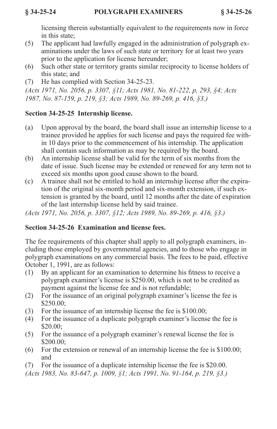licensing therein substantially equivalent to the requirements now in force in this state;

- (5) The applicant had lawfully engaged in the administration of polygraph examinations under the laws of such state or territory for at least two years prior to the application for license hereunder;
- (6) Such other state or territory grants similar reciprocity to license holders of this state; and
- (7) He has complied with Section 34-25-23.

*(Acts 1971, No. 2056, p. 3307, §11; Acts 1981, No. 81-222, p, 293, §4; Acts 1987, No. 87-159, p. 219, §3; Acts 1989, No. 89-269, p. 416, §3.)*

#### **Section 34-25-25 Internship license.**

- (a) Upon approval by the board, the board shall issue an internship license to a trainee provided he applies for such license and pays the required fee within 10 days prior to the commencement of his internship. The application shall contain such information as may be required by the board.
- (b) An internship license shall be valid for the term of six months from the date of issue. Such license may be extended or renewed for any term not to exceed six months upon good cause shown to the board.
- (c) A trainee shall not be entitled to hold an internship license after the expiration of the original six-month period and six-month extension, if such extension is granted by the board, until 12 months after the date of expiration of the last internship license held by said trainee.

*(Acts 1971, No. 2056, p. 3307, §12; Acts 1989, No. 89-269, p. 416, §3.)*

#### **Section 34-25-26 Examination and license fees.**

The fee requirements of this chapter shall apply to all polygraph examiners, including those employed by governmental agencies, and to those who engage in polygraph examinations on any commercial basis. The fees to be paid, effective October 1, 1991, are as follows:

- (1) By an applicant for an examination to determine his fitness to receive a polygraph examiner's license is \$250.00, which is not to be credited as payment against the license fee and is not refundable;
- (2) For the issuance of an original polygraph examiner's license the fee is \$250.00;
- (3) For the issuance of an internship license the fee is  $$100.00$ ;
- (4) For the issuance of a duplicate polygraph examiner's license the fee is \$20.00;
- (5) For the issuance of a polygraph examiner's renewal license the fee is \$200.00;
- (6) For the extension or renewal of an internship license the fee is  $$100.00$ ; and
- (7) For the issuance of a duplicate internship license the fee is \$20.00.
- *(Acts 1983, No. 83-647, p. 1009, §1; Acts 1991, No. 91-164, p. 219, §3.)*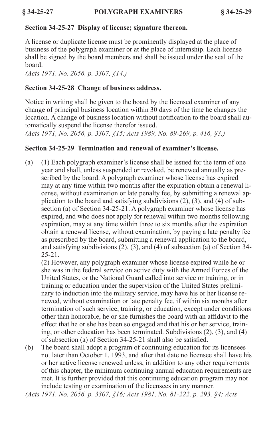#### **§ 34-25-27 POLYGRAPH EXAMINERS § 34-25-29**

#### **Section 34-25-27 Display of license; signature thereon.**

A license or duplicate license must be prominently displayed at the place of business of the polygraph examiner or at the place of internship. Each license shall be signed by the board members and shall be issued under the seal of the board.

*(Acts 1971, No. 2056, p. 3307, §14.)*

#### **Section 34-25-28 Change of business address.**

Notice in writing shall be given to the board by the licensed examiner of any change of principal business location within 30 days of the time he changes the location. A change of business location without notification to the board shall automatically suspend the license therefor issued.

*(Acts 1971, No. 2056, p. 3307, §15; Acts 1989, No. 89-269, p. 416, §3.)*

#### **Section 34-25-29 Termination and renewal of examiner's license.**

(a) (1) Each polygraph examiner's license shall be issued for the term of one year and shall, unless suspended or revoked, be renewed annually as prescribed by the board. A polygraph examiner whose license has expired may at any time within two months after the expiration obtain a renewal license, without examination or late penalty fee, by submitting a renewal application to the board and satisfying subdivisions (2), (3), and (4) of subsection (a) of Section 34-25-21. A polygraph examiner whose license has expired, and who does not apply for renewal within two months following expiration, may at any time within three to six months after the expiration obtain a renewal license, without examination, by paying a late penalty fee as prescribed by the board, submitting a renewal application to the board, and satisfying subdivisions (2), (3), and (4) of subsection (a) of Section 34- 25-21.

(2) However, any polygraph examiner whose license expired while he or she was in the federal service on active duty with the Armed Forces of the United States, or the National Guard called into service or training, or in training or education under the supervision of the United States preliminary to induction into the military service, may have his or her license renewed, without examination or late penalty fee, if within six months after termination of such service, training, or education, except under conditions other than honorable, he or she furnishes the board with an affidavit to the effect that he or she has been so engaged and that his or her service, training, or other education has been terminated. Subdivisions (2), (3), and (4) of subsection (a) of Section 34-25-21 shall also be satisfied.

(b) The board shall adopt a program of continuing education for its licensees not later than October 1, 1993, and after that date no licensee shall have his or her active license renewed unless, in addition to any other requirements of this chapter, the minimum continuing annual education requirements are met. It is further provided that this continuing education program may not include testing or examination of the licensees in any manner.

*(Acts 1971, No. 2056, p. 3307, §16; Acts 1981, No. 81-222, p. 293, §4; Acts*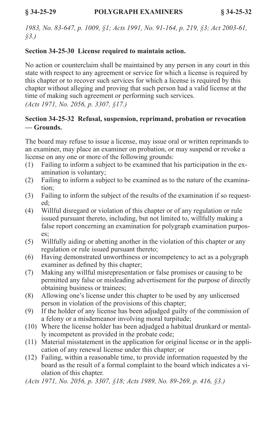*1983, No. 83-647, p. 1009, §1; Acts 1991, No. 91-164, p. 219, §3; Act 2003-61, §3.)*

#### **Section 34-25-30 License required to maintain action.**

No action or counterclaim shall be maintained by any person in any court in this state with respect to any agreement or service for which a license is required by this chapter or to recover such services for which a license is required by this chapter without alleging and proving that such person had a valid license at the time of making such agreement or performing such services.

*(Acts 1971, No. 2056, p. 3307, §17.)*

#### **Section 34-25-32 Refusal, suspension, reprimand, probation or revocation — Grounds.**

The board may refuse to issue a license, may issue oral or written reprimands to an examiner, may place an examiner on probation, or may suspend or revoke a license on any one or more of the following grounds:

- (1) Failing to inform a subject to be examined that his participation in the examination is voluntary;
- (2) Failing to inform a subject to be examined as to the nature of the examination;
- (3) Failing to inform the subject of the results of the examination if so requested;
- (4) Willful disregard or violation of this chapter or of any regulation or rule issued pursuant thereto, including, but not limited to, willfully making a false report concerning an examination for polygraph examination purposes;
- (5) Willfully aiding or abetting another in the violation of this chapter or any regulation or rule issued pursuant thereto;
- (6) Having demonstrated unworthiness or incompetency to act as a polygraph examiner as defined by this chapter;
- (7) Making any willful misrepresentation or false promises or causing to be permitted any false or misleading advertisement for the purpose of directly obtaining business or trainees;
- (8) Allowing one's license under this chapter to be used by any unlicensed person in violation of the provisions of this chapter;
- (9) If the holder of any license has been adjudged guilty of the commission of a felony or a misdemeanor involving moral turpitude;
- (10) Where the license holder has been adjudged a habitual drunkard or mentally incompetent as provided in the probate code;
- (11) Material misstatement in the application for original license or in the application of any renewal license under this chapter; or
- (12) Failing, within a reasonable time, to provide information requested by the board as the result of a formal complaint to the board which indicates a violation of this chapter.

*(Acts 1971, No. 2056, p. 3307, §18; Acts 1989, No. 89-269, p. 416, §3.)*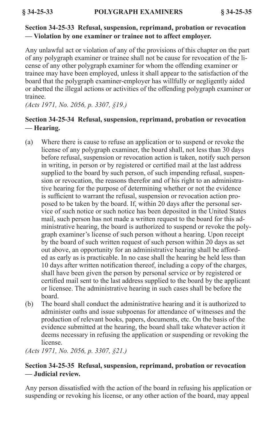#### **Section 34-25-33 Refusal, suspension, reprimand, probation or revocation — Violation by one examiner or trainee not to affect employer.**

Any unlawful act or violation of any of the provisions of this chapter on the part of any polygraph examiner or trainee shall not be cause for revocation of the license of any other polygraph examiner for whom the offending examiner or trainee may have been employed, unless it shall appear to the satisfaction of the board that the polygraph examiner-employer has willfully or negligently aided or abetted the illegal actions or activities of the offending polygraph examiner or trainee.

*(Acts 1971, No. 2056, p. 3307, §19.)*

#### **Section 34-25-34 Refusal, suspension, reprimand, probation or revocation — Hearing.**

- (a) Where there is cause to refuse an application or to suspend or revoke the license of any polygraph examiner, the board shall, not less than 30 days before refusal, suspension or revocation action is taken, notify such person in writing, in person or by registered or certified mail at the last address supplied to the board by such person, of such impending refusal, suspension or revocation, the reasons therefor and of his right to an administrative hearing for the purpose of determining whether or not the evidence is sufficient to warrant the refusal, suspension or revocation action proposed to be taken by the board. If, within 20 days after the personal service of such notice or such notice has been deposited in the United States mail, such person has not made a written request to the board for this administrative hearing, the board is authorized to suspend or revoke the polygraph examiner's license of such person without a hearing. Upon receipt by the board of such written request of such person within 20 days as set out above, an opportunity for an administrative hearing shall be afforded as early as is practicable. In no case shall the hearing be held less than 10 days after written notification thereof, including a copy of the charges, shall have been given the person by personal service or by registered or certified mail sent to the last address supplied to the board by the applicant or licensee. The administrative hearing in such cases shall be before the board.
- (b) The board shall conduct the administrative hearing and it is authorized to administer oaths and issue subpoenas for attendance of witnesses and the production of relevant books, papers, documents, etc. On the basis of the evidence submitted at the hearing, the board shall take whatever action it deems necessary in refusing the application or suspending or revoking the license.

*(Acts 1971, No. 2056, p. 3307, §21.)*

#### **Section 34-25-35 Refusal, suspension, reprimand, probation or revocation — Judicial review.**

Any person dissatisfied with the action of the board in refusing his application or suspending or revoking his license, or any other action of the board, may appeal